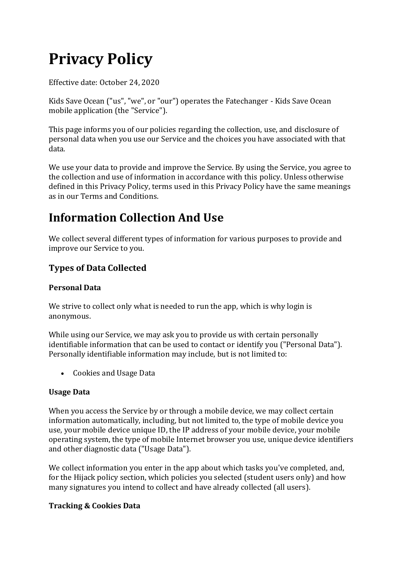# **Privacy Policy**

Effective date: October 24, 2020

Kids Save Ocean ("us", "we", or "our") operates the Fatechanger - Kids Save Ocean mobile application (the "Service").

This page informs you of our policies regarding the collection, use, and disclosure of personal data when you use our Service and the choices you have associated with that data.

We use your data to provide and improve the Service. By using the Service, you agree to the collection and use of information in accordance with this policy. Unless otherwise defined in this Privacy Policy, terms used in this Privacy Policy have the same meanings as in our Terms and Conditions.

### **Information Collection And Use**

We collect several different types of information for various purposes to provide and improve our Service to you.

#### **Types of Data Collected**

#### **Personal Data**

We strive to collect only what is needed to run the app, which is why login is anonymous.

While using our Service, we may ask you to provide us with certain personally identifiable information that can be used to contact or identify you ("Personal Data"). Personally identifiable information may include, but is not limited to:

• Cookies and Usage Data

#### **Usage Data**

When you access the Service by or through a mobile device, we may collect certain information automatically, including, but not limited to, the type of mobile device you use, your mobile device unique ID, the IP address of your mobile device, your mobile operating system, the type of mobile Internet browser you use, unique device identifiers and other diagnostic data ("Usage Data").

We collect information you enter in the app about which tasks you've completed, and, for the Hijack policy section, which policies you selected (student users only) and how many signatures you intend to collect and have already collected (all users).

#### **Tracking & Cookies Data**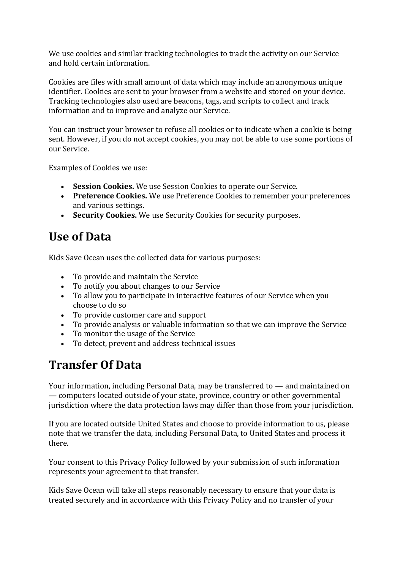We use cookies and similar tracking technologies to track the activity on our Service and hold certain information.

Cookies are files with small amount of data which may include an anonymous unique identifier. Cookies are sent to your browser from a website and stored on your device. Tracking technologies also used are beacons, tags, and scripts to collect and track information and to improve and analyze our Service.

You can instruct your browser to refuse all cookies or to indicate when a cookie is being sent. However, if you do not accept cookies, you may not be able to use some portions of our Service.

Examples of Cookies we use:

- **Session Cookies.** We use Session Cookies to operate our Service.
- **Preference Cookies.** We use Preference Cookies to remember your preferences and various settings.
- **Security Cookies.** We use Security Cookies for security purposes.

### **Use of Data**

Kids Save Ocean uses the collected data for various purposes:

- To provide and maintain the Service
- To notify you about changes to our Service
- To allow you to participate in interactive features of our Service when you choose to do so
- To provide customer care and support
- To provide analysis or valuable information so that we can improve the Service
- To monitor the usage of the Service
- To detect, prevent and address technical issues

### **Transfer Of Data**

Your information, including Personal Data, may be transferred to — and maintained on — computers located outside of your state, province, country or other governmental jurisdiction where the data protection laws may differ than those from your jurisdiction.

If you are located outside United States and choose to provide information to us, please note that we transfer the data, including Personal Data, to United States and process it there.

Your consent to this Privacy Policy followed by your submission of such information represents your agreement to that transfer.

Kids Save Ocean will take all steps reasonably necessary to ensure that your data is treated securely and in accordance with this Privacy Policy and no transfer of your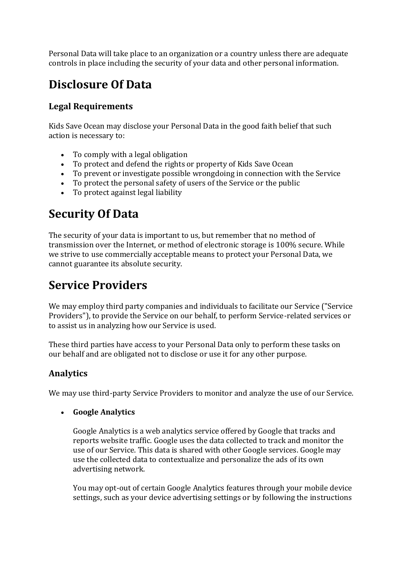Personal Data will take place to an organization or a country unless there are adequate controls in place including the security of your data and other personal information.

### **Disclosure Of Data**

#### **Legal Requirements**

Kids Save Ocean may disclose your Personal Data in the good faith belief that such action is necessary to:

- To comply with a legal obligation
- To protect and defend the rights or property of Kids Save Ocean
- To prevent or investigate possible wrongdoing in connection with the Service
- To protect the personal safety of users of the Service or the public
- To protect against legal liability

### **Security Of Data**

The security of your data is important to us, but remember that no method of transmission over the Internet, or method of electronic storage is 100% secure. While we strive to use commercially acceptable means to protect your Personal Data, we cannot guarantee its absolute security.

# **Service Providers**

We may employ third party companies and individuals to facilitate our Service ("Service Providers"), to provide the Service on our behalf, to perform Service-related services or to assist us in analyzing how our Service is used.

These third parties have access to your Personal Data only to perform these tasks on our behalf and are obligated not to disclose or use it for any other purpose.

#### **Analytics**

We may use third-party Service Providers to monitor and analyze the use of our Service.

• **Google Analytics**

Google Analytics is a web analytics service offered by Google that tracks and reports website traffic. Google uses the data collected to track and monitor the use of our Service. This data is shared with other Google services. Google may use the collected data to contextualize and personalize the ads of its own advertising network.

You may opt-out of certain Google Analytics features through your mobile device settings, such as your device advertising settings or by following the instructions